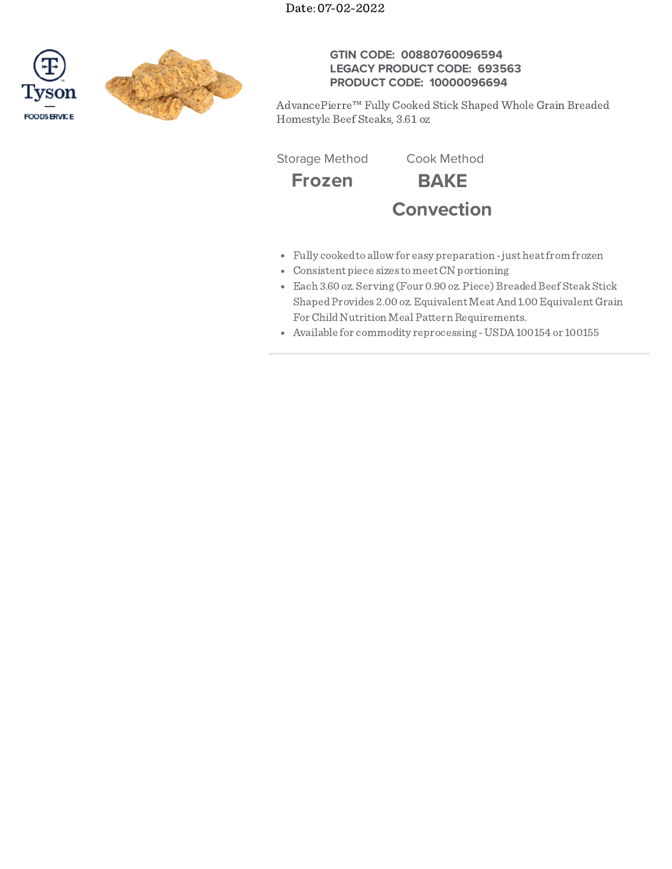Date: 07-02-2022





# **GTIN CODE: 00880760096594 LEGACY PRODUCT CODE: 693563 PRODUCT CODE: 10000096694**

AdvancePierre™ Fully Cooked Stick Shaped Whole Grain Breaded Homestyle Beef Steaks, 3.61 oz

Storage Method Cook Method

**Frozen BAKE Convection**

- Fully cooked to allow for easy preparation just heat from frozen
- Consistent piece sizes tomeetCN portioning
- Each 3.60 oz. Serving (Four 0.90 oz. Piece) Breaded Beef Steak Stick Shaped Provides 2.00 oz. Equivalent Meat And 1.00 Equivalent Grain For Child Nutrition Meal Pattern Requirements.
- Available for commodity reprocessing -USDA100154 or 100155